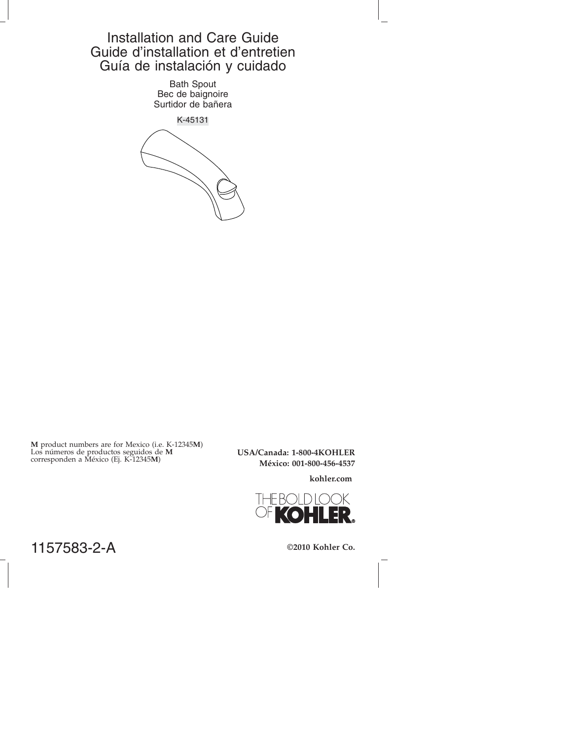Installation and Care Guide Guide d'installation et d'entretien Guía de instalación y cuidado

> Bath Spout Bec de baignoire Surtidor de bañera

K-45131

**M** product numbers are for Mexico (i.e. K-12345**M**) Los números de productos seguidos de **M** corresponden a México (Ej. K-12345**M**)

**USA/Canada: 1-800-4KOHLER México: 001-800-456-4537**

**kohler.com**



1157583-2-A

**©2010 Kohler Co.**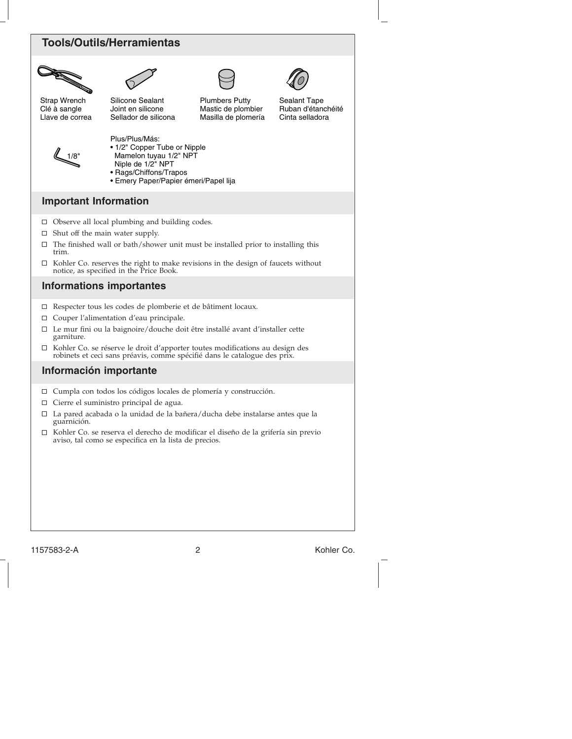# **Tools/Outils/Herramientas**

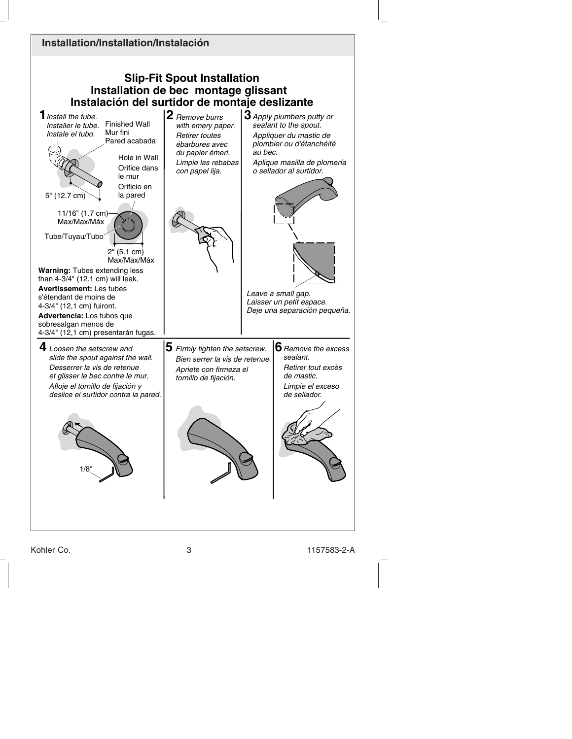

Kohler Co. 3 1157583-2-A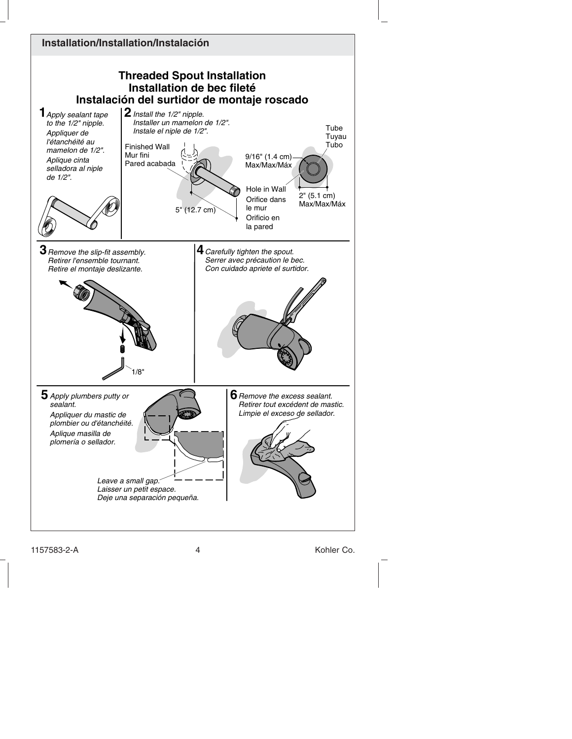

1157583-2-A 4 Kohler Co.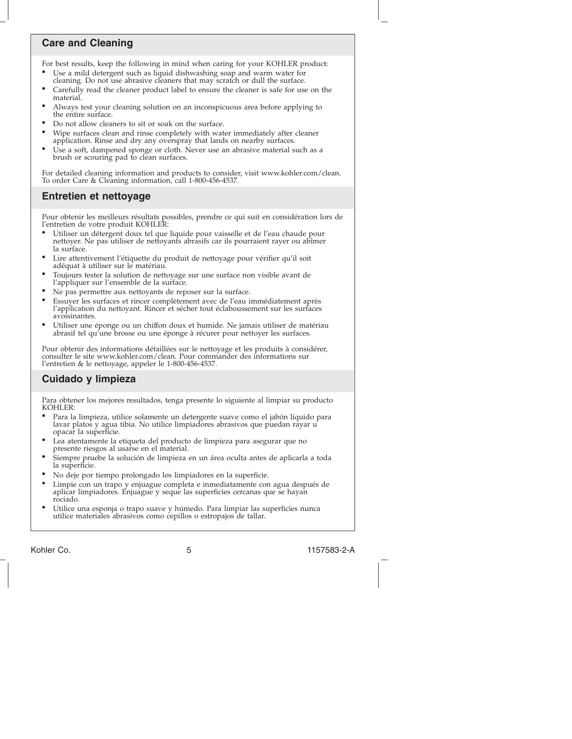# **Care and Cleaning**

For best results, keep the following in mind when caring for your KOHLER product:

- Use a mild detergent such as liquid dishwashing soap and warm water for cleaning. Do not use abrasive cleaners that may scratch or dull the surface.
- Carefully read the cleaner product label to ensure the cleaner is safe for use on the material.
- Always test your cleaning solution on an inconspicuous area before applying to the entire surface.
- Do not allow cleaners to sit or soak on the surface.
- Wipe surfaces clean and rinse completely with water immediately after cleaner application. Rinse and dry any overspray that lands on nearby surfaces.
- Use a soft, dampened sponge or cloth. Never use an abrasive material such as a brush or scouring pad to clean surfaces.

For detailed cleaning information and products to consider, visit www.kohler.com/clean. To order Care & Cleaning information, call 1-800-456-4537.

# **Entretien et nettoyage**

Pour obtenir les meilleurs résultats possibles, prendre ce qui suit en considération lors de l'entretien de votre produit KOHLER:

- Utiliser un détergent doux tel que liquide pour vaisselle et de l'eau chaude pour nettoyer. Ne pas utiliser de nettoyants abrasifs car ils pourraient rayer ou abîmer la surface.
- Lire attentivement l'étiquette du produit de nettoyage pour vérifier qu'il soit adéquat à utiliser sur le matériau
- Toujours tester la solution de nettoyage sur une surface non visible avant de l'appliquer sur l'ensemble de la surface.
- Ne pas permettre aux nettoyants de reposer sur la surface.
- Essuyer les surfaces et rincer complètement avec de l'eau immédiatement après l'application du nettoyant. Rincer et sécher tout éclaboussement sur les surfaces avoisinantes.
- Utiliser une éponge ou un chiffon doux et humide. Ne jamais utiliser de matériau abrasif tel qu'une brosse ou une éponge à récurer pour nettoyer les surfaces.

Pour obtenir des informations détaillées sur le nettoyage et les produits à considérer, consulter le site www.kohler.com/clean. Pour commander des informations sur l'entretien & le nettoyage, appeler le 1-800-456-4537.

# **Cuidado y limpieza**

Para obtener los mejores resultados, tenga presente lo siguiente al limpiar su producto KOHLER:

- Para la limpieza, utilice solamente un detergente suave como el jabón líquido para lavar platos y agua tibia. No utilice limpiadores abrasivos que puedan rayar u opacar la superficie.
- Lea atentamente la etiqueta del producto de limpieza para asegurar que no presente riesgos al usarse en el material.
- Siempre pruebe la solución de limpieza en un área oculta antes de aplicarla a toda la superficie.
- No deje por tiempo prolongado los limpiadores en la superficie.
- Limpie con un trapo y enjuague completa e inmediatamente con agua después de aplicar limpiadores. Enjuague y seque las superficies cercanas que se hayan rociado.
- Utilice una esponja o trapo suave y húmedo. Para limpiar las superficies nunca utilice materiales abrasivos como cepillos o estropajos de tallar.

Kohler Co. 5 1157583-2-A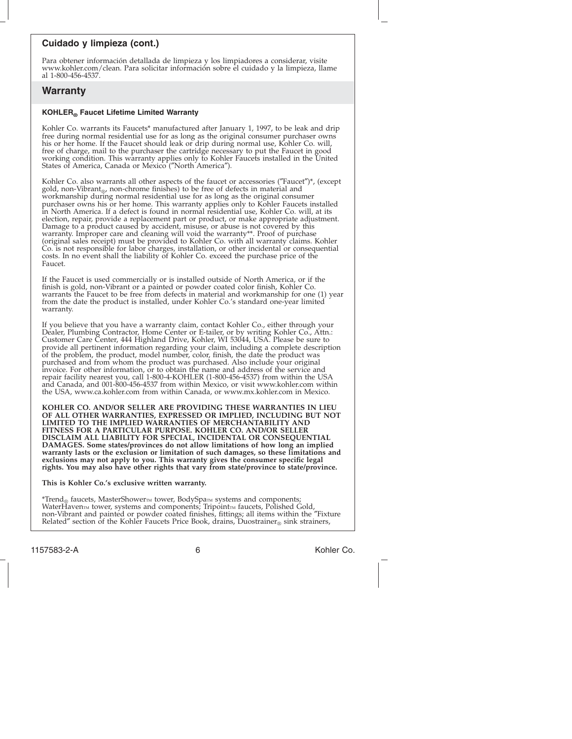# **Cuidado y limpieza (cont.)**

Para obtener información detallada de limpieza y los limpiadores a considerar, visite www.kohler.com/clean. Para solicitar información sobre el cuidado y la limpieza, llame al 1-800-456-4537.

## **Warranty**

#### **KOHLER® Faucet Lifetime Limited Warranty**

Kohler Co. warrants its Faucets\* manufactured after January 1, 1997, to be leak and drip free during normal residential use for as long as the original consumer purchaser owns his or her home. If the Faucet should leak or drip during normal use, Kohler Co. will,<br>free of charge, mail to the purchaser the cartridge necessary to put the Faucet in good<br>working condition. This warranty applies only t

Kohler Co. also warrants all other aspects of the faucet or accessories ("Faucet")\*, (except gold, non-Vibrant<sub>®</sub>, non-chrome finishes) to be free of defects in material and workmanship during normal residential use for as long as the original consumer purchaser owns his or her home. This warranty applies only to Kohler Faucets installed in North America. If a defect is found in normal residential use, Kohler Co. will, at its election, repair, provide a replacement part or product, or make appropriate adjustment. Damage to a product caused by accident, misuse, or abuse is not covered by this warranty. Improper care and cleaning will void the warranty\*\*. Proof of purchase<br>(original sales receipt) must be provided to Kohler Co. with all warranty claims. Kohler<br>Co. is not responsible for labor charges, installati costs. In no event shall the liability of Kohler Co. exceed the purchase price of the Faucet.

If the Faucet is used commercially or is installed outside of North America, or if the finish is gold, non-Vibrant or a painted or powder coated color finish, Kohler Co. warrants the Faucet to be free from defects in material and workmanship for one (1) year from the date the product is installed, under Kohler Co.'s standard one-year limited warranty.

If you believe that you have a warranty claim, contact Kohler Co., either through your Dealer, Plumbing Contractor, Home Center or E-tailer, or by writing Kohler Co., Attn.: Customer Care Center, 444 Highland Drive, Kohler, WI 53044, USA. Please be sure to provide all pertinent information regarding your claim, including a complete description of the problem, the product, model number, color, finish, the date the product was purchased and from whom the product was purchased. Also include your original invoice. For other information, or to obtain the name and address of the service and repair facility nearest you, call 1-800-4-KOHLER (1-800-456-4537) from within the USA and Canada, and 001-800-456-4537 from within Mexico, or visit www.kohler.com within the USA, www.ca.kohler.com from within Canada, or www.mx.kohler.com in Mexico.

**KOHLER CO. AND/OR SELLER ARE PROVIDING THESE WARRANTIES IN LIEU OF ALL OTHER WARRANTIES, EXPRESSED OR IMPLIED, INCLUDING BUT NOT LIMITED TO THE IMPLIED WARRANTIES OF MERCHANTABILITY AND FITNESS FOR A PARTICULAR PURPOSE. KOHLER CO. AND/OR SELLER DISCLAIM ALL LIABILITY FOR SPECIAL, INCIDENTAL OR CONSEQUENTIAL DAMAGES. Some states/provinces do not allow limitations of how long an implied warranty lasts or the exclusion or limitation of such damages, so these limitations and exclusions may not apply to you. This warranty gives the consumer specific legal rights. You may also have other rights that vary from state/province to state/province.**

#### **This is Kohler Co.'s exclusive written warranty.**

\*Trend<sub>®</sub> faucets, MasterShower™ tower, BodySpa™ systems and components;<br>WaterHaven™ tower, systems and components; Tripoint™ faucets, Polished Gold, non-Vibrant and painted or powder coated finishes, fittings; all items within the ″Fixture Related" section of the Kohler Faucets Price Book, drains, Duostrainer® sink strainers,

1157583-2-A 6 Kohler Co.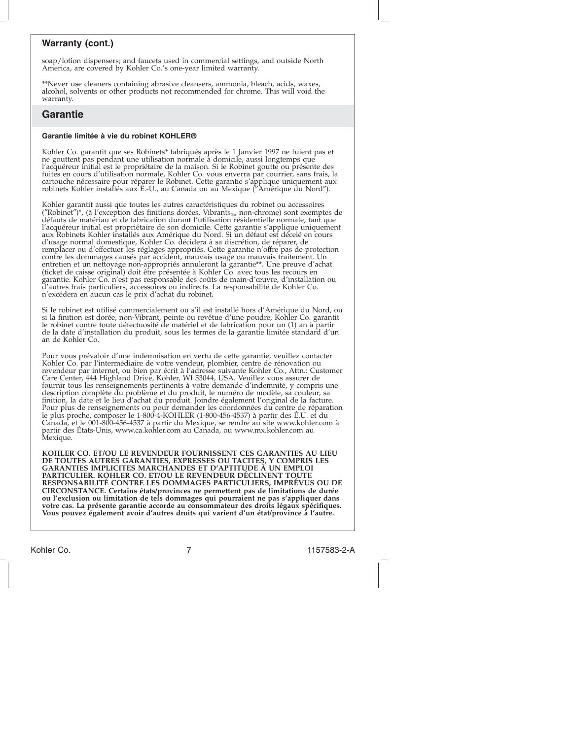# **Warranty (cont.)**

soap/lotion dispensers; and faucets used in commercial settings, and outside North America, are covered by Kohler Co.'s one-year limited warranty.

\*\*Never use cleaners containing abrasive cleansers, ammonia, bleach, acids, waxes, alcohol, solvents or other products not recommended for chrome. This will void the warranty.

# **Garantie**

#### **Garantie limitée à vie du robinet KOHLER®**

Kohler Co. garantit que ses Robinets\* fabriqués après le 1 Janvier 1997 ne fuient pas et ne gouttent pas pendant une utilisation normale à domicile, aussi longtemps que l'acquéreur initial est le propriétaire de la maison. Si le Robinet goutte ou présente des fuites en cours d'utilisation normale, Kohler Co. vous enverra par courrier, sans frais, la cartouche nécessaire pour réparer le Robinet. Cette garantie s'applique uniquement aux robinets Kohler installés aux É.-U., au Canada ou au Mexique (″Amérique du Nord″).

Kohler garantit aussi que toutes les autres caractéristiques du robinet ou accessoires ("Robinet")\*, (à l'exception des finitions dorées, Vibrants<sub>®</sub>, non-chrome) sont exemptes de<br>défauts de matériau et de fabrication durant l'utilisation résidentielle normale, tant que l'acquéreur initial est propriétaire de son domicile. Cette garantie s'applique uniquement aux Robinets Kohler installés aux Amérique du Nord. Si un défaut est décelé en cours d'usage normal domestique, Kohler Co. décidera à sa discrétion, de réparer, de<br>remplacer ou d'effectuer les réglages appropriés. Cette garantie n'offre pas de protection<br>reontre les dommages causés par accident, mauvais us garantie. Kohler Co. n'est pas responsable des coûts de main-d'œuvre, d'installation ou d'autres frais particuliers, accessoires ou indirects. La responsabilité de Kohler Co. n'excédera en aucun cas le prix d'achat du robinet.

Si le robinet est utilisé commercialement ou s'il est installé hors d'Amérique du Nord, ou si la finition est dorée, non-Vibrant, peinte ou revêtue d'une poudre, Kohler Co. garantit le robinet contre toute défectuosité de matériel et de fabrication pour un (1) an à partir de la date d'installation du produit, sous les termes de la garantie limitée standard d'un an de Kohler Co.

Pour vous prévaloir d'une indemnisation en vertu de cette garantie, veuillez contacter Kohler Co. par l'intermédiaire de votre vendeur, plombier, centre de rénovation ou revendeur par internet, ou bien par écrit à l'adresse suivante Kohler Co., Attn.: Customer Care Center, 444 Highland Drive, Kohler, WI 53044, USA. Veuillez vous assurer de fournir tous les renseignements pertinents à votre demande d'indemnité, y compris une description complète du problème et du produit, le numéro de modèle, sa couleur, sa finition, la date et le lieu d'achat du produit. Joindre également l'original de la facture. Pour plus de renseignements ou pour demander les coordonnées du centre de réparation le plus proche, composer le 1-800-4-KOHLER (1-800-456-4537) à partir des É.U. et du Canada, et le 001-800-456-4537 à partir du Mexique, se rendre au site www.kohler.com à partir des États-Unis, www.ca.kohler.com au Canada, ou www.mx.kohler.com au Mexique.

**KOHLER CO. ET/OU LE REVENDEUR FOURNISSENT CES GARANTIES AU LIEU DE TOUTES AUTRES GARANTIES, EXPRESSES OU TACITES, Y COMPRIS LES GARANTIES IMPLICITES MARCHANDES ET D'APTITUDE À UN EMPLOI PARTICULIER. KOHLER CO. ET/OU LE REVENDEUR DÉCLINENT TOUTE** RESPONSABILITE CONTRE LES DOMMAGES PARTICULIERS, IMPREVUS OU DE<br>CIRCONSTANCE. Certains états/provinces ne permettent pas de limitations de durée<br>ou l'exclusion ou limitation de tels dommages qui pourraient ne pas s'appliqu **Vous pouvez également avoir d'autres droits qui varient d'un état/province à l'autre.**

Kohler Co. 7 1157583-2-A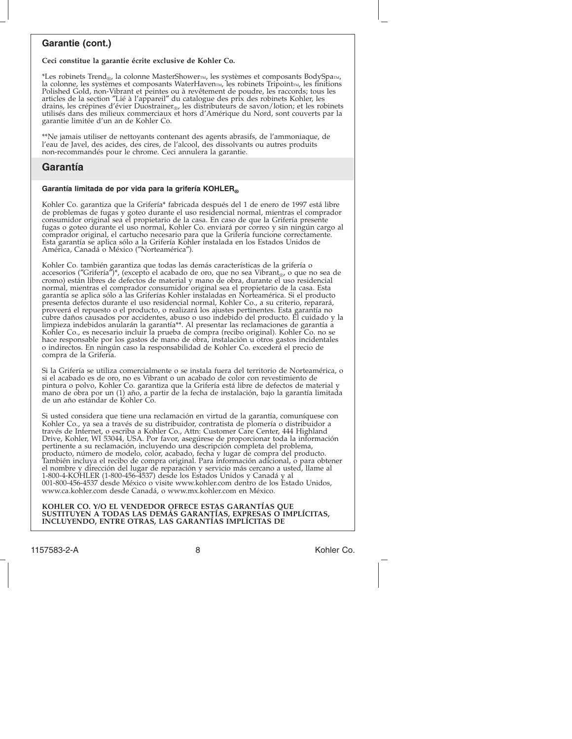## **Garantie (cont.)**

#### **Ceci constitue la garantie écrite exclusive de Kohler Co.**

\*Les robinets Trend<sub>®</sub>, la colonne MasterShower<sub>M</sub>, les systèmes et composants BodySpa<sub>M</sub>, la colonne, les systèmes et composants WaterHaven<sub>M</sub>, les robinets Tripoint<sub>M</sub>, les finitions Polished Gold, non-Vibrant et peintes ou à revêtement de poudre, les raccords; tous les articles de la section ″Lié à l'appareil″ du catalogue des prix des robinets Kohler, les drains, les crépines d'évier Duostrainer<sub>®</sub>, les distributeurs de savon/lotion; et les robinets<br>utilisés dans des milieux commerciaux et hors d'Amérique du Nord, sont couverts par la garantie limitée d'un an de Kohler Co.

\*\*Ne jamais utiliser de nettoyants contenant des agents abrasifs, de l'ammoniaque, de l'eau de Javel, des acides, des cires, de l'alcool, des dissolvants ou autres produits non-recommandés pour le chrome. Ceci annulera la garantie.

### **Garantía**

#### **Garantía limitada de por vida para la grifería KOHLER®**

Kohler Co. garantiza que la Grifería\* fabricada después del 1 de enero de 1997 está libre de problemas de fugas y goteo durante el uso residencial normal, mientras el comprador<br>consumidor original sea el propietario de la casa. En caso de que la Grifería presente<br>fugas o goteo durante el uso normal, Kohler Co.

Kohler Co. también garantiza que todas las demás características de la grifería o<br>accesorios ("Grifería")\*, (excepto el acabado de oro, que no sea Vibrant<sub>®</sub>, o que no sea de<br>cromo) están libres de defectos de material y m normal, mientras el comprador consumidor original sea el propietario de la casa. Esta garantía se aplica sólo a las Griferías Kohler instaladas en Norteamérica. Si el producto presenta defectos durante el uso residencial normal, Kohler Co., a su criterio, reparará, proveerá el repuesto o el producto, o realizará los ajustes pertinentes. Esta garantía no cubre daños causados por accidentes, abuso o uso indebido del producto. El cuidado y la limpieza indebidos anularán la garantía\*\*. Al presentar las reclamaciones de garantía a<br>Kohler Co., es necesario incluir la prueba de compra (recibo original). Kohler Co. no se<br>hace responsable por los gastos de mano de ob o indirectos. En ningún caso la responsabilidad de Kohler Co. excederá el precio de compra de la Grifería.

Si la Grifería se utiliza comercialmente o se instala fuera del territorio de Norteamérica, o si el acabado es de oro, no es Vibrant o un acabado de color con revestimiento de pintura o polvo, Kohler Co. garantiza que la Grifería está libre de defectos de material y mano de obra por un (1) año, a partir de la fecha de instalación, bajo la garantía limitada de un año estándar de Kohler Co.

Si usted considera que tiene una reclamación en virtud de la garantía, comuníquese con Kohler Co., ya sea a través de su distribuidor, contratista de plomería o distribuidor a través de Internet, o escriba a Kohler Co., Attn: Customer Care Center, 444 Highland<br>Drive, Kohler, WI 53044, USA. Por favor, asegúrese de proporcionar toda la información<br>pertinente a su reclamación, incluyendo una descri producto, número de modelo, color, acabado, fecha y lugar de compra del producto. También incluya el recibo de compra original. Para información adicional, o para obtener el nombre y dirección del lugar de reparación y servicio más cercano a usted, llame al 1-800-4-KOHLER (1-800-456-4537) desde los Estados Unidos y Canadá y al 001-800-456-4537 desde México o visite www.kohler.com dentro de los Estado Unidos, www.ca.kohler.com desde Canadá, o www.mx.kohler.com en México.

#### **KOHLER CO. Y/O EL VENDEDOR OFRECE ESTAS GARANTÍAS QUE SUSTITUYEN A TODAS LAS DEMÁS GARANTÍAS, EXPRESAS O IMPLÍCITAS, INCLUYENDO, ENTRE OTRAS, LAS GARANTÍAS IMPLÍCITAS DE**

1157583-2-A 8 Kohler Co.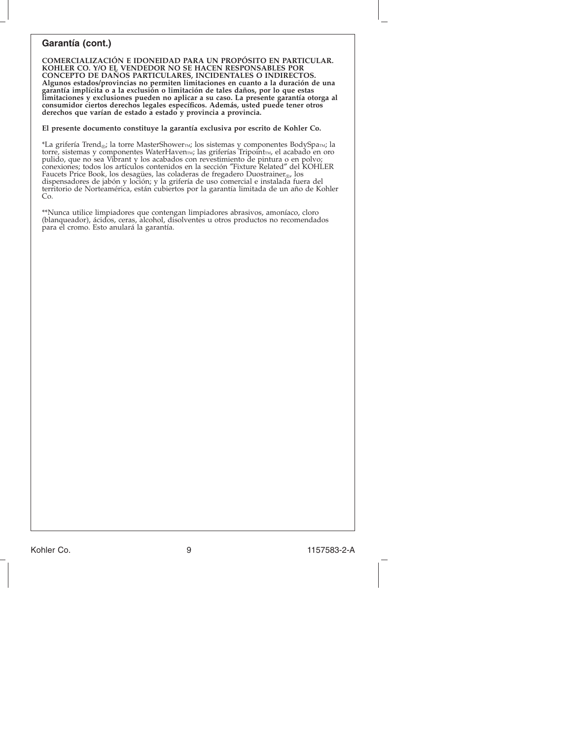# **Garantía (cont.)**

**COMERCIALIZACIÓN E IDONEIDAD PARA UN PROPÓSITO EN PARTICULAR. KOHLER CO. Y/O EL VENDEDOR NO SE HACEN RESPONSABLES POR CONCEPTO DE DAÑOS PARTICULARES, INCIDENTALES O INDIRECTOS. Algunos estados/provincias no permiten limitaciones en cuanto a la duración de una garantía implícita o a la exclusión o limitación de tales daños, por lo que estas limitaciones y exclusiones pueden no aplicar a su caso. La presente garantía otorga al consumidor ciertos derechos legales específicos. Además, usted puede tener otros derechos que varían de estado a estado y provincia a provincia.**

#### **El presente documento constituye la garantía exclusiva por escrito de Kohler Co.**

\*La grifería Trend®; la torre MasterShower™; los sistemas y componentes BodySpa™; la<br>torre, sistemas y componentes WaterHaven™; las griferías Tripoint™, el acabado en oro pulido, que no sea Vibrant y los acabados con revestimiento de pintura o en polvo; conexiones; todos los artículos contenidos en la sección ″Fixture Related″ del KOHLER Faucets Price Book, los desagües, las coladeras de fregadero Duostrainer®, los dispensadores de jabón y loción; y la grifería de uso comercial e instalada fuera del territorio de Norteamérica, están cubiertos por la garantía limitada de un año de Kohler Co.

\*\*Nunca utilice limpiadores que contengan limpiadores abrasivos, amoníaco, cloro (blanqueador), ácidos, ceras, alcohol, disolventes u otros productos no recomendados para el cromo. Esto anulará la garantía.

Kohler Co. 2002 1157583-2-A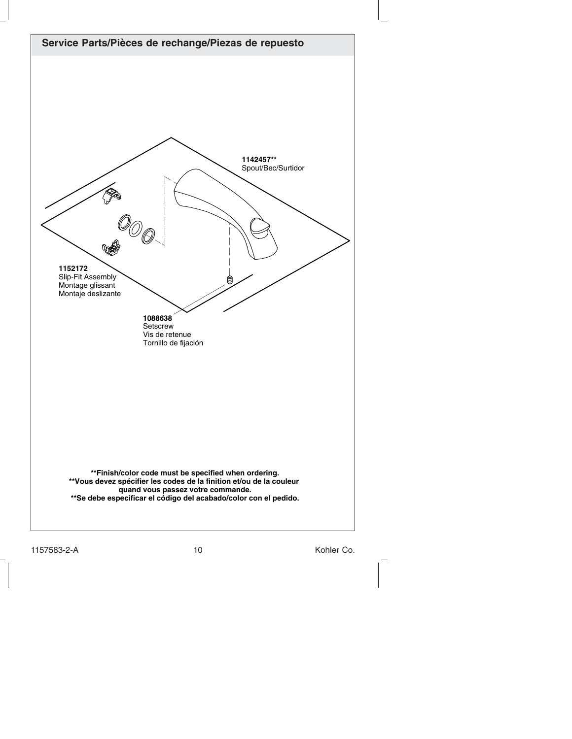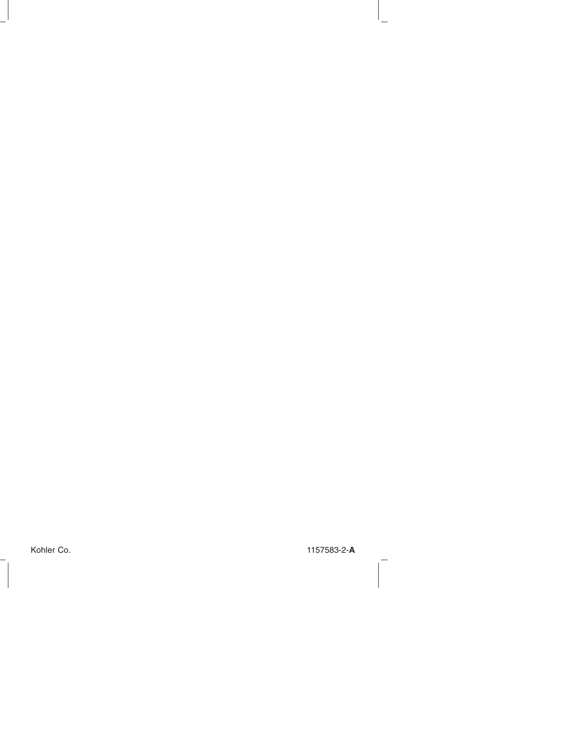Kohler Co. 1157583-2-**A**